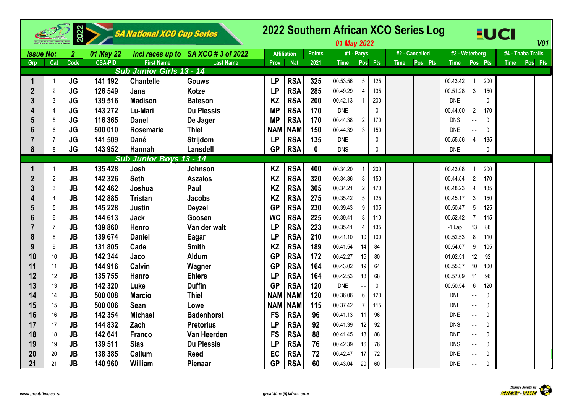|                  |                | 2022           |                | <b>SA National XCO Cup Series</b> |                    |            |                    |               | 2022 Southern African XCO Series Log<br>01 May 2022 |                 |              |             |                |                |                  |              | <b>EUCI</b>       |         | <b>V01</b> |
|------------------|----------------|----------------|----------------|-----------------------------------|--------------------|------------|--------------------|---------------|-----------------------------------------------------|-----------------|--------------|-------------|----------------|----------------|------------------|--------------|-------------------|---------|------------|
| <b>Issue No:</b> |                | $\overline{2}$ | 01 May 22      | incl races up to                  | SA XCO # 3 of 2022 |            | <b>Affiliation</b> | <b>Points</b> | #1 - Parys                                          |                 |              |             | #2 - Cancelled | #3 - Waterberg |                  |              | #4 - Thaba Trails |         |            |
| Grp              | Cat            | Code           | <b>CSA-PID</b> | <b>First Name</b>                 | <b>Last Name</b>   | Prov       | <b>Nat</b>         | 2021          | <b>Time</b>                                         |                 | Pos Pts      | <b>Time</b> | Pos Pts        | <b>Time</b>    | Pos Pts          |              | <b>Time</b>       | Pos Pts |            |
|                  |                |                |                | <b>Sub Junior Girls 13 - 14</b>   |                    |            |                    |               |                                                     |                 |              |             |                |                |                  |              |                   |         |            |
| 1                | $\overline{1}$ | <b>JG</b>      | 141 192        | <b>Chantelle</b>                  | <b>Gouws</b>       | <b>LP</b>  | <b>RSA</b>         | 325           | 00.53.56                                            | $5\overline{)}$ | 125          |             |                | 00.43.42       |                  | 200          |                   |         |            |
| $\overline{2}$   | $\overline{2}$ | <b>JG</b>      | 126 549        | Jana                              | <b>Kotze</b>       | <b>LP</b>  | <b>RSA</b>         | 285           | 00.49.29                                            | $\overline{4}$  | 135          |             |                | 00.51.28       | $\mathbf{3}$     | 150          |                   |         |            |
| 3                | 3              | <b>JG</b>      | 139 516        | <b>Madison</b>                    | <b>Bateson</b>     | <b>KZ</b>  | <b>RSA</b>         | 200           | 00.42.13                                            | $\mathbf{1}$    | 200          |             |                | <b>DNE</b>     |                  | $\Omega$     |                   |         |            |
|                  | $\overline{4}$ | <b>JG</b>      | 143 272        | Lu-Mari                           | <b>Du Plessis</b>  | <b>MP</b>  | <b>RSA</b>         | 170           | <b>DNE</b>                                          |                 | $\Omega$     |             |                | 00.44.00       | $\overline{2}$   | 170          |                   |         |            |
| 5                | 5              | <b>JG</b>      | 116 365        | <b>Danel</b>                      | De Jager           | <b>MP</b>  | <b>RSA</b>         | 170           | 00.44.38                                            | $\overline{2}$  | 170          |             |                | <b>DNS</b>     |                  | $\Omega$     |                   |         |            |
| 6                | 6              | <b>JG</b>      | 500 010        | Rosemarie                         | <b>Thiel</b>       | <b>NAM</b> | <b>NAM</b>         | 150           | 00.44.39                                            | $\mathfrak{Z}$  | 150          |             |                | <b>DNE</b>     |                  | $\Omega$     |                   |         |            |
| 7                | $\overline{7}$ | <b>JG</b>      | 141 509        | Dané                              | Strijdom           | <b>LP</b>  | <b>RSA</b>         | 135           | <b>DNE</b>                                          |                 | $\Omega$     |             |                | 00.55.56       | $\overline{4}$   | 135          |                   |         |            |
| 8                | 8              | <b>JG</b>      | 143 952        | Hannah                            | Lansdell           | <b>GP</b>  | <b>RSA</b>         | $\mathbf{0}$  | <b>DNS</b>                                          |                 | $\mathbf{0}$ |             |                | <b>DNE</b>     |                  | $\mathbf{0}$ |                   |         |            |
|                  |                |                |                | <b>Sub Junior Boys 13 - 14</b>    |                    |            |                    |               |                                                     |                 |              |             |                |                |                  |              |                   |         |            |
|                  | $\overline{1}$ | <b>JB</b>      | 135 428        | Josh                              | Johnson            | <b>KZ</b>  | <b>RSA</b>         | 400           | 00.34.20                                            | $\mathbf 1$     | 200          |             |                | 00.43.08       |                  | 200          |                   |         |            |
| $\overline{2}$   | $\overline{2}$ | JB             | 142 326        | <b>Seth</b>                       | <b>Aszalos</b>     | <b>KZ</b>  | <b>RSA</b>         | 320           | 00.34.36                                            | $\mathbf{3}$    | 150          |             |                | 00.44.54       | $\overline{2}$   | 170          |                   |         |            |
| 3                | 3              | <b>JB</b>      | 142 462        | Joshua                            | Paul               | <b>KZ</b>  | <b>RSA</b>         | 305           | 00.34.21                                            | $\overline{2}$  | 170          |             |                | 00.48.23       | $\overline{4}$   | 135          |                   |         |            |
|                  | $\overline{4}$ | <b>JB</b>      | 142 885        | <b>Tristan</b>                    | <b>Jacobs</b>      | <b>KZ</b>  | <b>RSA</b>         | 275           | 00.35.42                                            | $5\phantom{.0}$ | 125          |             |                | 00.45.17       | $\mathfrak{Z}$   | 150          |                   |         |            |
| 5                | 5              | JB             | 145 228        | Justin                            | <b>Deyzel</b>      | <b>GP</b>  | <b>RSA</b>         | 230           | 00.39.43                                            | 9               | 105          |             |                | 00.50.47       | $5\overline{)}$  | 125          |                   |         |            |
| 6                | 6              | <b>JB</b>      | 144 613        | <b>Jack</b>                       | Goosen             | <b>WC</b>  | <b>RSA</b>         | 225           | 00.39.41                                            | 8               | 110          |             |                | 00.52.42       | $\overline{7}$   | 115          |                   |         |            |
|                  | $\overline{7}$ | <b>JB</b>      | 139 860        | Henro                             | Van der walt       | <b>LP</b>  | <b>RSA</b>         | 223           | 00.35.41                                            | $\overline{4}$  | 135          |             |                | $-1$ Lap       | 13               | 88           |                   |         |            |
| 8                | 8              | <b>JB</b>      | 139 674        | <b>Daniel</b>                     | Eagar              | <b>LP</b>  | <b>RSA</b>         | 210           | 00.41.10                                            | 10 <sup>1</sup> | 100          |             |                | 00.52.53       | $\bf 8$          | 110          |                   |         |            |
| 9                | 9              | <b>JB</b>      | 131 805        | Cade                              | <b>Smith</b>       | <b>KZ</b>  | <b>RSA</b>         | 189           | 00.41.54                                            | 14              | 84           |             |                | 00.54.07       | $\boldsymbol{9}$ | 105          |                   |         |            |
| 10               | 10             | <b>JB</b>      | 142 344        | Jaco                              | <b>Aldum</b>       | <b>GP</b>  | <b>RSA</b>         | 172           | 00.42.27                                            | 15              | 80           |             |                | 01.02.51       | 12               | 92           |                   |         |            |
| 11               | 11             | <b>JB</b>      | 144 916        | <b>Calvin</b>                     | Wagner             | <b>GP</b>  | <b>RSA</b>         | 164           | 00.43.02                                            | 19              | 64           |             |                | 00.55.37       | 10 <sup>°</sup>  | 100          |                   |         |            |
| 12               | 12             | <b>JB</b>      | 135 755        | Hanro                             | <b>Ehlers</b>      | <b>LP</b>  | <b>RSA</b>         | 164           | 00.42.53                                            | 18              | 68           |             |                | 00.57.09       | 11               | 96           |                   |         |            |
| 13               | 13             | <b>JB</b>      | 142 320        | Luke                              | <b>Duffin</b>      | <b>GP</b>  | <b>RSA</b>         | 120           | <b>DNE</b>                                          |                 | $\Omega$     |             |                | 00.50.54       | 6                | 120          |                   |         |            |
| 14               | 14             | <b>JB</b>      | 500 008        | <b>Marcio</b>                     | <b>Thiel</b>       | <b>NAM</b> | <b>NAM</b>         | 120           | 00.36.06                                            | $6\,$           | 120          |             |                | <b>DNE</b>     |                  | $\Omega$     |                   |         |            |
| 15               | 15             | <b>JB</b>      | 500 006        | <b>Sean</b>                       | Lowe               | <b>NAM</b> | <b>NAM</b>         | 115           | 00.37.42                                            | $\overline{7}$  | 115          |             |                | <b>DNE</b>     |                  | 0            |                   |         |            |
| 16               | 16             | <b>JB</b>      | 142 354        | <b>Michael</b>                    | <b>Badenhorst</b>  | <b>FS</b>  | <b>RSA</b>         | 96            | 00.41.13                                            | 11              | 96           |             |                | <b>DNE</b>     |                  | $\Omega$     |                   |         |            |
| 17               | 17             | <b>JB</b>      | 144 832        | Zach                              | <b>Pretorius</b>   | <b>LP</b>  | <b>RSA</b>         | 92            | 00.41.39                                            | 12 <sup>°</sup> | 92           |             |                | <b>DNS</b>     |                  | $\Omega$     |                   |         |            |
| 18               | 18             | JB             | 142 641        | <b>Franco</b>                     | Van Heerden        | <b>FS</b>  | <b>RSA</b>         | 88            | 00.41.45                                            | 13              | 88           |             |                | <b>DNE</b>     |                  | $\Omega$     |                   |         |            |
| 19               | 19             | <b>JB</b>      | 139 511        | <b>Sias</b>                       | <b>Du Plessis</b>  | <b>LP</b>  | <b>RSA</b>         | 76            | 00.42.39                                            | 16              | 76           |             |                | <b>DNS</b>     |                  | $\Omega$     |                   |         |            |
| 20               | 20             | <b>JB</b>      | 138 385        | Callum                            | <b>Reed</b>        | EC         | <b>RSA</b>         | 72            | 00.42.47                                            | 17              | 72           |             |                | <b>DNE</b>     |                  | $\Omega$     |                   |         |            |
| 21               | 21             | <b>JB</b>      | 140 960        | William                           | Pienaar            | <b>GP</b>  | <b>RSA</b>         | 60            | 00.43.04                                            | $20\,$          | 60           |             |                | <b>DNE</b>     |                  | $\Omega$     |                   |         |            |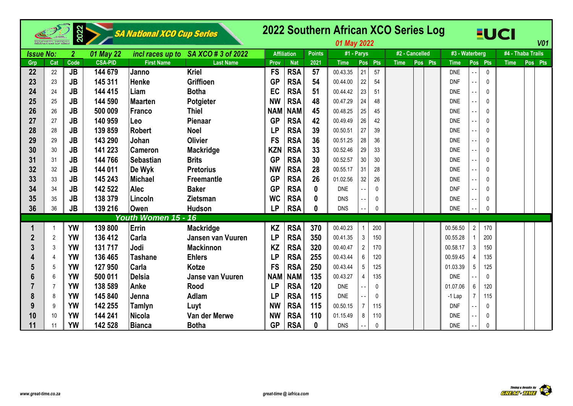|                  |     | 2022         |                | <b>SA National XCO Cup Series</b> |                    |            |                    |               | 2022 Southern African XCO Series Log<br>01 May 2022 |                |              |                |         |                |                 |              | <b>EUCI</b>       |     | <b>V01</b> |
|------------------|-----|--------------|----------------|-----------------------------------|--------------------|------------|--------------------|---------------|-----------------------------------------------------|----------------|--------------|----------------|---------|----------------|-----------------|--------------|-------------------|-----|------------|
| <b>Issue No:</b> |     | $\mathbf{2}$ | 01 May 22      | incl races up to                  | SA XCO # 3 of 2022 |            | <b>Affiliation</b> | <b>Points</b> | #1 - Parys                                          |                |              | #2 - Cancelled |         | #3 - Waterberg |                 |              | #4 - Thaba Trails |     |            |
| Grp              | Cat | Code         | <b>CSA-PID</b> | <b>First Name</b>                 | <b>Last Name</b>   | Prov       | <b>Nat</b>         | 2021          | <b>Time</b>                                         | Pos            | Pts          | <b>Time</b>    | Pos Pts | <b>Time</b>    | Pos             | Pts          | <b>Time</b>       | Pos | <b>Pts</b> |
| 22               | 22  | JB           | 144 679        | Janno                             | <b>Kriel</b>       | <b>FS</b>  | <b>RSA</b>         | 57            | 00.43.35                                            | 21             | 57           |                |         | <b>DNE</b>     |                 | $\mathbf{0}$ |                   |     |            |
| 23               | 23  | <b>JB</b>    | 145 311        | Henke                             | <b>Griffioen</b>   | <b>GP</b>  | <b>RSA</b>         | 54            | 00.44.00                                            | 22             | 54           |                |         | <b>DNF</b>     |                 | 0            |                   |     |            |
| 24               | 24  | <b>JB</b>    | 144 415        | Liam                              | <b>Botha</b>       | EC         | <b>RSA</b>         | 51            | 00.44.42                                            | 23             | 51           |                |         | <b>DNE</b>     |                 | 0            |                   |     |            |
| 25               | 25  | <b>JB</b>    | 144 590        | <b>Maarten</b>                    | Potgieter          | <b>NW</b>  | <b>RSA</b>         | 48            | 00.47.29                                            | 24             | 48           |                |         | <b>DNE</b>     |                 | $\mathbf{0}$ |                   |     |            |
| 26               | 26  | <b>JB</b>    | 500 009        | <b>Franco</b>                     | <b>Thiel</b>       | <b>NAM</b> | <b>NAM</b>         | 45            | 00.48.25                                            | 25             | 45           |                |         | <b>DNE</b>     |                 | 0            |                   |     |            |
| 27               | 27  | <b>JB</b>    | 140 959        | Leo                               | Pienaar            | <b>GP</b>  | <b>RSA</b>         | 42            | 00.49.49                                            | 26             | 42           |                |         | <b>DNE</b>     |                 | $\mathbf{0}$ |                   |     |            |
| 28               | 28  | <b>JB</b>    | 139 859        | <b>Robert</b>                     | <b>Noel</b>        | <b>LP</b>  | <b>RSA</b>         | 39            | 00.50.51                                            | 27             | 39           |                |         | <b>DNF</b>     |                 | $\mathbf{0}$ |                   |     |            |
| 29               | 29  | JB           | 143 290        | Johan                             | <b>Olivier</b>     | <b>FS</b>  | <b>RSA</b>         | 36            | 00.51.25                                            | 28             | 36           |                |         | <b>DNE</b>     |                 | $\mathbf{0}$ |                   |     |            |
| 30               | 30  | <b>JB</b>    | 141 223        | <b>Cameron</b>                    | <b>Mackridge</b>   | <b>KZN</b> | <b>RSA</b>         | 33            | 00.52.46                                            | 29             | 33           |                |         | <b>DNF</b>     |                 | $\Omega$     |                   |     |            |
| 31               | 31  | <b>JB</b>    | 144 766        | <b>Sebastian</b>                  | <b>Brits</b>       | <b>GP</b>  | <b>RSA</b>         | 30            | 00.52.57                                            | 30             | 30           |                |         | <b>DNE</b>     |                 | $\Omega$     |                   |     |            |
| 32               | 32  | JB           | 144 011        | De Wyk                            | <b>Pretorius</b>   | <b>NW</b>  | <b>RSA</b>         | 28            | 00.55.17                                            | 31             | 28           |                |         | <b>DNE</b>     |                 | 0            |                   |     |            |
| 33               | 33  | <b>JB</b>    | 145 243        | <b>Michael</b>                    | <b>Freemantle</b>  | <b>GP</b>  | <b>RSA</b>         | 26            | 01.02.56                                            | 32             | 26           |                |         | <b>DNF</b>     |                 | $\Omega$     |                   |     |            |
| 34               | 34  | <b>JB</b>    | 142 522        | <b>Alec</b>                       | <b>Baker</b>       | <b>GP</b>  | <b>RSA</b>         | 0             | <b>DNE</b>                                          |                | $\Omega$     |                |         | <b>DNF</b>     |                 | $\Omega$     |                   |     |            |
| 35               | 35  | <b>JB</b>    | 138 379        | Lincoln                           | <b>Zietsman</b>    | <b>WC</b>  | <b>RSA</b>         | 0             | <b>DNS</b>                                          |                | $\mathbf{0}$ |                |         | <b>DNE</b>     |                 | $\Omega$     |                   |     |            |
| 36               | 36  | <b>JB</b>    | 139 216        | <b>Owen</b>                       | <b>Hudson</b>      | <b>LP</b>  | <b>RSA</b>         | 0             | <b>DNS</b>                                          |                | $\Omega$     |                |         | <b>DNE</b>     |                 | $\Omega$     |                   |     |            |
|                  |     |              |                | Youth Women 15 - 16               |                    |            |                    |               |                                                     |                |              |                |         |                |                 |              |                   |     |            |
|                  |     | <b>YW</b>    | 139 800        | Errin                             | <b>Mackridge</b>   | <b>KZ</b>  | <b>RSA</b>         | 370           | 00.40.23                                            |                | 200          |                |         | 00.56.50       | $\overline{2}$  | 170          |                   |     |            |
|                  | 2   | <b>YW</b>    | 136 412        | Carla                             | Jansen van Vuuren  | <b>LP</b>  | <b>RSA</b>         | 350           | 00.41.35                                            | $\mathbf{3}$   | 150          |                |         | 00.55.28       |                 | 200          |                   |     |            |
|                  | 3   | <b>YW</b>    | 131 717        | Jodi                              | <b>Mackinnon</b>   | <b>KZ</b>  | <b>RSA</b>         | 320           | 00.40.47                                            | $\overline{2}$ | 170          |                |         | 00.58.17       | 3               | 150          |                   |     |            |
|                  | 4   | YW           | 136 465        | <b>Tashane</b>                    | <b>Ehlers</b>      | <b>LP</b>  | <b>RSA</b>         | 255           | 00.43.44                                            | $6\phantom{.}$ | 120          |                |         | 00.59.45       |                 | 135          |                   |     |            |
|                  | 5   | <b>YW</b>    | 127 950        | Carla                             | Kotze              | <b>FS</b>  | <b>RSA</b>         | 250           | 00.43.44                                            | 5 <sup>5</sup> | 125          |                |         | 01.03.39       | 5               | 125          |                   |     |            |
| 6                | 6   | <b>YW</b>    | 500 011        | <b>Delsia</b>                     | Janse van Vuuren   | <b>NAM</b> | <b>NAM</b>         | 135           | 00.43.27                                            | 4              | 135          |                |         | <b>DNE</b>     |                 | $\mathbf{0}$ |                   |     |            |
|                  | 7   | <b>YW</b>    | 138 589        | Anke                              | <b>Rood</b>        | <b>LP</b>  | <b>RSA</b>         | 120           | <b>DNE</b>                                          |                | $\mathbf{0}$ |                |         | 01.07.06       | $6\phantom{1}6$ | 120          |                   |     |            |
| 8                | 8   | <b>YW</b>    | 145 840        | Jenna                             | <b>Adlam</b>       | <b>LP</b>  | <b>RSA</b>         | 115           | <b>DNE</b>                                          |                | $\Omega$     |                |         | $-1$ Lap       | $\overline{7}$  | 115          |                   |     |            |
| 9                | 9   | <b>YW</b>    | 142 255        | <b>Tamlyn</b>                     | Luyt               | <b>NW</b>  | <b>RSA</b>         | 115           | 00.50.15                                            | $\overline{7}$ | 115          |                |         | <b>DNF</b>     |                 | 0            |                   |     |            |
| 10               | 10  | <b>YW</b>    | 144 241        | <b>Nicola</b>                     | Van der Merwe      | <b>NW</b>  | <b>RSA</b>         | 110           | 01.15.49                                            | 8              | 110          |                |         | <b>DNE</b>     |                 | 0            |                   |     |            |
| 11               | 11  | <b>YW</b>    | 142 528        | <b>Bianca</b>                     | <b>Botha</b>       | <b>GP</b>  | <b>RSA</b>         | 0             | <b>DNS</b>                                          |                | $\mathbf{0}$ |                |         | <b>DNE</b>     |                 | $\Omega$     |                   |     |            |

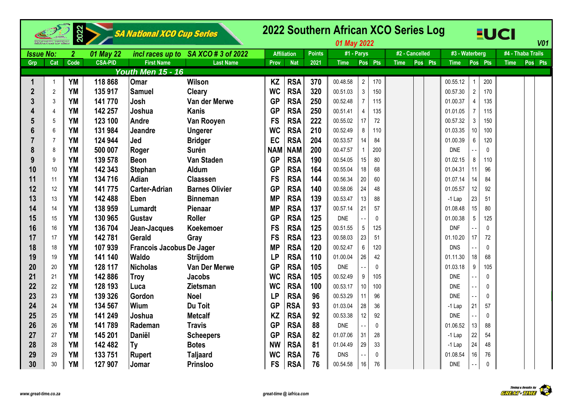|                  |                | 2022             |                | SA National XCO Cup Series |                                     |            |                    |               | 01 May 2022 |                                |             | 2022 Southern African XCO Series Log |                |                 |              | <b>EUCI</b> | <b>V01</b>        |  |
|------------------|----------------|------------------|----------------|----------------------------|-------------------------------------|------------|--------------------|---------------|-------------|--------------------------------|-------------|--------------------------------------|----------------|-----------------|--------------|-------------|-------------------|--|
| <b>Issue No:</b> |                | $\boldsymbol{2}$ | 01 May 22      |                            | incl races up to SA XCO # 3 of 2022 |            | <b>Affiliation</b> | <b>Points</b> | #1 - Parys  |                                |             | #2 - Cancelled                       | #3 - Waterberg |                 |              |             | #4 - Thaba Trails |  |
| Grp              | Cat            | Code             | <b>CSA-PID</b> | <b>First Name</b>          | <b>Last Name</b>                    | Prov       | <b>Nat</b>         | 2021          | <b>Time</b> | Pos Pts                        | <b>Time</b> | Pos Pts                              | <b>Time</b>    | Pos Pts         |              | <b>Time</b> | Pos Pts           |  |
|                  |                |                  |                | <b>Youth Men 15 - 16</b>   |                                     |            |                    |               |             |                                |             |                                      |                |                 |              |             |                   |  |
| 1                | $\overline{1}$ | <b>YM</b>        | 118 868        | Omar                       | <b>Wilson</b>                       | <b>KZ</b>  | <b>RSA</b>         | 370           | 00.48.58    | $\overline{2}$<br>170          |             |                                      | 00.55.12       | 1               | 200          |             |                   |  |
| $\overline{2}$   | $\overline{2}$ | <b>YM</b>        | 135 917        | <b>Samuel</b>              | Cleary                              | <b>WC</b>  | <b>RSA</b>         | 320           | 00.51.03    | $\mathbf{3}$<br>150            |             |                                      | 00.57.30       | $\overline{2}$  | 170          |             |                   |  |
| $\overline{3}$   | 3              | YM               | 141 770        | Josh                       | Van der Merwe                       | <b>GP</b>  | <b>RSA</b>         | 250           | 00.52.48    | $\overline{7}$<br>115          |             |                                      | 01.00.37       | 4               | 135          |             |                   |  |
| 4                | 4              | <b>YM</b>        | 142 257        | Joshua                     | <b>Kanis</b>                        | <b>GP</b>  | <b>RSA</b>         | 250           | 00.51.41    | $\overline{4}$<br>135          |             |                                      | 01.01.05       | $\overline{7}$  | 115          |             |                   |  |
|                  | 5              | <b>YM</b>        | 123 100        | Andre                      | Van Rooyen                          | <b>FS</b>  | <b>RSA</b>         | 222           | 00.55.02    | 17<br>72                       |             |                                      | 00.57.32       | 3               | 150          |             |                   |  |
| 6                | 6              | <b>YM</b>        | 131 984        | <b>Jeandre</b>             | <b>Ungerer</b>                      | <b>WC</b>  | <b>RSA</b>         | 210           | 00.52.49    | 8<br>110                       |             |                                      | 01.03.35       | 10              | 100          |             |                   |  |
|                  | 7              | <b>YM</b>        | 124 944        | Jed                        | <b>Bridger</b>                      | EC         | <b>RSA</b>         | 204           | 00.53.57    | 14<br>84                       |             |                                      | 01.00.39       | 6               | 120          |             |                   |  |
| 8                | 8              | <b>YM</b>        | 500 007        | Roger                      | <b>Surén</b>                        | <b>NAM</b> | <b>NAM</b>         | 200           | 00.47.57    | $\mathbf{1}$<br>200            |             |                                      | <b>DNE</b>     |                 | 0            |             |                   |  |
| 9                | 9              | <b>YM</b>        | 139 578        | <b>Beon</b>                | <b>Van Staden</b>                   | <b>GP</b>  | <b>RSA</b>         | 190           | 00.54.05    | 15<br>80                       |             |                                      | 01.02.15       | 8               | 110          |             |                   |  |
| 10               | 10             | YM               | 142 343        | Stephan                    | Aldum                               | <b>GP</b>  | <b>RSA</b>         | 164           | 00.55.04    | 18<br>68                       |             |                                      | 01.04.31       | 11              | 96           |             |                   |  |
| 11               | 11             | <b>YM</b>        | 134 716        | Adian                      | <b>Claassen</b>                     | <b>FS</b>  | <b>RSA</b>         | 144           | 00.56.34    | 20<br>60                       |             |                                      | 01.07.14       | 14              | 84           |             |                   |  |
| 12               | 12             | <b>YM</b>        | 141 775        | <b>Carter-Adrian</b>       | <b>Barnes Olivier</b>               | <b>GP</b>  | <b>RSA</b>         | 140           | 00.58.06    | 24<br>48                       |             |                                      | 01.05.57       | 12 <sup>°</sup> | 92           |             |                   |  |
| 13               | 13             | <b>YM</b>        | 142 488        | Eben                       | <b>Binneman</b>                     | <b>MP</b>  | <b>RSA</b>         | 139           | 00.53.47    | 13<br>88                       |             |                                      | $-1$ Lap       | 23              | 51           |             |                   |  |
| 14               | 14             | <b>YM</b>        | 138 959        | <b>Lumardt</b>             | <b>Pienaar</b>                      | <b>MP</b>  | <b>RSA</b>         | 137           | 00.57.14    | 21<br>57                       |             |                                      | 01.08.48       | 15              | 80           |             |                   |  |
| 15               | 15             | <b>YM</b>        | 130 965        | Gustav                     | <b>Roller</b>                       | <b>GP</b>  | <b>RSA</b>         | 125           | <b>DNE</b>  | $\mathbf{0}$<br>$\overline{a}$ |             |                                      | 01.00.38       | 5               | 125          |             |                   |  |
| 16               | 16             | <b>YM</b>        | 136 704        | Jean-Jacques               | <b>Koekemoer</b>                    | <b>FS</b>  | <b>RSA</b>         | 125           | 00.51.55    | $5\,$<br>125                   |             |                                      | <b>DNF</b>     |                 | $\Omega$     |             |                   |  |
| 17               | 17             | <b>YM</b>        | 142781         | Gerald                     | Gray                                | <b>FS</b>  | <b>RSA</b>         | 123           | 00.58.03    | 23<br>51                       |             |                                      | 01.10.20       | 17 <sup>1</sup> | 72           |             |                   |  |
| 18               | 18             | <b>YM</b>        | 107939         | Francois Jacobus De Jager  |                                     | <b>MP</b>  | <b>RSA</b>         | 120           | 00.52.47    | $\boldsymbol{6}$<br>120        |             |                                      | <b>DNS</b>     |                 | $\Omega$     |             |                   |  |
| 19               | 19             | <b>YM</b>        | 141 140        | <b>Waldo</b>               | <b>Strijdom</b>                     | <b>LP</b>  | <b>RSA</b>         | 110           | 01.00.04    | 26<br>42                       |             |                                      | 01.11.30       | 18              | 68           |             |                   |  |
| 20               | 20             | <b>YM</b>        | 128 117        | <b>Nicholas</b>            | Van Der Merwe                       | <b>GP</b>  | <b>RSA</b>         | 105           | <b>DNE</b>  | $\mathbf{0}$                   |             |                                      | 01.03.18       | 9               | 105          |             |                   |  |
| 21               | 21             | YM               | 142886         | <b>Troy</b>                | <b>Jacobs</b>                       | <b>WC</b>  | <b>RSA</b>         | 105           | 00.52.49    | $\boldsymbol{9}$<br>105        |             |                                      | <b>DNE</b>     |                 | $\Omega$     |             |                   |  |
| 22               | 22             | <b>YM</b>        | 128 193        | Luca                       | Zietsman                            | <b>WC</b>  | <b>RSA</b>         | 100           | 00.53.17    | $10$<br>100                    |             |                                      | <b>DNE</b>     |                 | $\Omega$     |             |                   |  |
| 23               | 23             | <b>YM</b>        | 139 326        | Gordon                     | <b>Noel</b>                         | <b>LP</b>  | <b>RSA</b>         | 96            | 00.53.29    | 11<br>96                       |             |                                      | <b>DNE</b>     |                 | $\Omega$     |             |                   |  |
| 24               | 24             | <b>YM</b>        | 134 567        | Wium                       | Du Toit                             | <b>GP</b>  | <b>RSA</b>         | 93            | 01.03.04    | 28<br>36                       |             |                                      | -1 Lap         | 21              | 57           |             |                   |  |
| 25               | 25             | <b>YM</b>        | 141 249        | Joshua                     | <b>Metcalf</b>                      | <b>KZ</b>  | <b>RSA</b>         | 92            | 00.53.38    | 12<br>92                       |             |                                      | <b>DNE</b>     |                 | $\mathbf{0}$ |             |                   |  |
| 26               | 26             | <b>YM</b>        | 141789         | Rademan                    | <b>Travis</b>                       | <b>GP</b>  | <b>RSA</b>         | 88            | <b>DNE</b>  | $\mathbf{0}$<br>22             |             |                                      | 01.06.52       | 13              | 88           |             |                   |  |
| 27               | 27             | <b>YM</b>        | 145 201        | Daniël                     | <b>Scheepers</b>                    | <b>GP</b>  | <b>RSA</b>         | 82            | 01.07.06    | 31<br>28                       |             |                                      | -1 Lap         | 22              | 54           |             |                   |  |
| 28               | 28             | <b>YM</b>        | 142 482        | Ty                         | <b>Botes</b>                        | <b>NW</b>  | <b>RSA</b>         | 81            | 01.04.49    | 29<br>33                       |             |                                      | -1 Lap         | 24              | 48           |             |                   |  |
| 29               | 29             | <b>YM</b>        | 133 751        | <b>Rupert</b>              | <b>Taljaard</b>                     | <b>WC</b>  | <b>RSA</b>         | 76            | <b>DNS</b>  | 0<br>$\overline{\phantom{a}}$  |             |                                      | 01.08.54       | 16              | 76           |             |                   |  |
| 30               | 30             | <b>YM</b>        | 127 907        | Jomar                      | <b>Prinsloo</b>                     | <b>FS</b>  | <b>RSA</b>         | 76            | 00.54.58    | $16\,$<br>76                   |             |                                      | <b>DNE</b>     |                 | $\mathbf{0}$ |             |                   |  |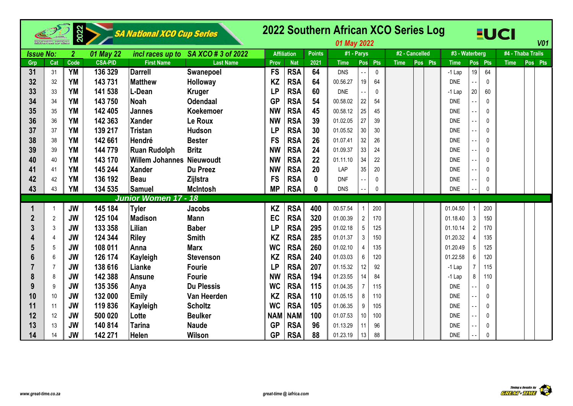|                  |                 | 2022             |                | <b>SA National XCO Cup Series</b> |                                     |            |                    |               | 2022 Southern African XCO Series Log<br>01 May 2022 |                 |              |                |         |                |                 |              | <b>EUCI</b>       | <b>V01</b> |
|------------------|-----------------|------------------|----------------|-----------------------------------|-------------------------------------|------------|--------------------|---------------|-----------------------------------------------------|-----------------|--------------|----------------|---------|----------------|-----------------|--------------|-------------------|------------|
| <b>Issue No:</b> |                 | $\boldsymbol{2}$ | 01 May 22      |                                   | incl races up to SA XCO # 3 of 2022 |            | <b>Affiliation</b> | <b>Points</b> | #1 - Parys                                          |                 |              | #2 - Cancelled |         | #3 - Waterberg |                 |              | #4 - Thaba Trails |            |
| Grp              | Cat             | Code             | <b>CSA-PID</b> | <b>First Name</b>                 | <b>Last Name</b>                    | Prov       | <b>Nat</b>         | 2021          | <b>Time</b>                                         | Pos             | Pts          | <b>Time</b>    | Pos Pts | <b>Time</b>    | Pos             | <b>Pts</b>   | <b>Time</b>       | Pos Pts    |
| 31               | 31              | <b>YM</b>        | 136 329        | <b>Darrell</b>                    | Swanepoel                           | <b>FS</b>  | <b>RSA</b>         | 64            | <b>DNS</b>                                          | $\overline{a}$  | $\mathbf{0}$ |                |         | $-1$ Lap       | 19              | 64           |                   |            |
| 32               | 32              | <b>YM</b>        | 143 731        | <b>Matthew</b>                    | Holloway                            | <b>KZ</b>  | <b>RSA</b>         | 64            | 00.56.27                                            | 19              | 64           |                |         | <b>DNE</b>     |                 | $\theta$     |                   |            |
| 33               | 33              | <b>YM</b>        | 141 538        | L-Dean                            | <b>Kruger</b>                       | <b>LP</b>  | <b>RSA</b>         | 60            | <b>DNE</b>                                          | $\sim$          | $\mathbf{0}$ |                |         | $-1$ Lap       | 20              | 60           |                   |            |
| 34               | 34              | <b>YM</b>        | 143 750        | <b>Noah</b>                       | <b>Odendaal</b>                     | <b>GP</b>  | <b>RSA</b>         | 54            | 00.58.02                                            | 22              | 54           |                |         | <b>DNE</b>     |                 | 0            |                   |            |
| 35               | 35              | <b>YM</b>        | 142 405        | <b>Jannes</b>                     | <b>Koekemoer</b>                    | <b>NW</b>  | <b>RSA</b>         | 45            | 00.58.12                                            | 25              | 45           |                |         | <b>DNF</b>     |                 | $\Omega$     |                   |            |
| 36               | 36              | <b>YM</b>        | 142 363        | Xander                            | Le Roux                             | <b>NW</b>  | <b>RSA</b>         | 39            | 01.02.05                                            | 27              | 39           |                |         | <b>DNE</b>     |                 | $\Omega$     |                   |            |
| 37               | 37              | <b>YM</b>        | 139 217        | Tristan                           | <b>Hudson</b>                       | <b>LP</b>  | <b>RSA</b>         | 30            | 01.05.52                                            | 30 <sub>2</sub> | 30           |                |         | <b>DNE</b>     |                 | $\mathbf{0}$ |                   |            |
| 38               | 38              | <b>YM</b>        | 142 661        | Hendré                            | <b>Bester</b>                       | <b>FS</b>  | <b>RSA</b>         | 26            | 01.07.41                                            | 32              | 26           |                |         | <b>DNE</b>     |                 | 0            |                   |            |
| 39               | 39              | <b>YM</b>        | 144 779        | <b>Ruan Rudolph</b>               | <b>Britz</b>                        | <b>NW</b>  | <b>RSA</b>         | 24            | 01.09.37                                            | 33              | 24           |                |         | <b>DNE</b>     |                 | $\theta$     |                   |            |
| 40               | 40              | <b>YM</b>        | 143 170        | <b>Willem Johannes Nieuwoudt</b>  |                                     | <b>NW</b>  | <b>RSA</b>         | 22            | 01.11.10                                            | 34              | 22           |                |         | <b>DNE</b>     |                 | 0            |                   |            |
| 41               | 41              | <b>YM</b>        | 145 244        | <b>Xander</b>                     | <b>Du Preez</b>                     | <b>NW</b>  | <b>RSA</b>         | 20            | LAP                                                 | 35              | 20           |                |         | <b>DNF</b>     |                 | $\mathbf{0}$ |                   |            |
| 42               | 42              | <b>YM</b>        | 136 192        | Beau                              | Zijlstra                            | <b>FS</b>  | <b>RSA</b>         | $\bf{0}$      | <b>DNF</b>                                          |                 | $\Omega$     |                |         | <b>DNE</b>     |                 | $\Omega$     |                   |            |
| 43               | 43              | YM               | 134 535        | Samuel                            | <b>McIntosh</b>                     | <b>MP</b>  | <b>RSA</b>         | 0             | <b>DNS</b>                                          |                 | $\mathbf{0}$ |                |         | <b>DNE</b>     |                 | $\mathbf{0}$ |                   |            |
|                  |                 |                  |                | Junior Women 17 - 18              |                                     |            |                    |               |                                                     |                 |              |                |         |                |                 |              |                   |            |
|                  |                 | <b>JW</b>        | 145 184        | <b>Tyler</b>                      | <b>Jacobs</b>                       | <b>KZ</b>  | <b>RSA</b>         | 400           | 00.57.54                                            |                 | 200          |                |         | 01.04.50       |                 | 200          |                   |            |
| $\overline{2}$   | $\overline{2}$  | <b>JW</b>        | 125 104        | <b>Madison</b>                    | <b>Mann</b>                         | EC         | <b>RSA</b>         | 320           | 01.00.39                                            | $\overline{2}$  | 170          |                |         | 01.18.40       | $\mathbf{3}$    | 150          |                   |            |
|                  | 3               | <b>JW</b>        | 133 358        | Lilian                            | <b>Baber</b>                        | <b>LP</b>  | <b>RSA</b>         | 295           | 01.02.18                                            | $5\phantom{.0}$ | 125          |                |         | 01.10.14       | $\overline{2}$  | 170          |                   |            |
|                  | 4               | <b>JW</b>        | 124 344        | <b>Riley</b>                      | <b>Smith</b>                        | <b>KZ</b>  | <b>RSA</b>         | 285           | 01.01.37                                            | $\mathbf{3}$    | 150          |                |         | 01.20.32       | 4               | 135          |                   |            |
|                  | 5               | <b>JW</b>        | 108 011        | Anna                              | <b>Marx</b>                         | <b>WC</b>  | <b>RSA</b>         | 260           | 01.02.10                                            | $\overline{4}$  | 135          |                |         | 01.20.49       | $5\phantom{.0}$ | 125          |                   |            |
|                  | 6               | <b>JW</b>        | 126 174        | Kayleigh                          | <b>Stevenson</b>                    | <b>KZ</b>  | <b>RSA</b>         | 240           | 01.03.03                                            | 6               | 120          |                |         | 01.22.58       | 6               | 120          |                   |            |
|                  | 7               | <b>JW</b>        | 138 616        | Lianke                            | <b>Fourie</b>                       | <b>LP</b>  | <b>RSA</b>         | 207           | 01.15.32                                            | 12              | 92           |                |         | $-1$ Lap       | $\overline{7}$  | 115          |                   |            |
| 8                | 8               | <b>JW</b>        | 142 388        | <b>Ansune</b>                     | <b>Fourie</b>                       | <b>NW</b>  | <b>RSA</b>         | 194           | 01.23.55                                            | 14              | 84           |                |         | $-1$ Lap       | $\bf 8$         | 110          |                   |            |
| 9                | 9               | <b>JW</b>        | 135 356        | Anya                              | <b>Du Plessis</b>                   | <b>WC</b>  | <b>RSA</b>         | 115           | 01.04.35                                            | $\overline{7}$  | 115          |                |         | <b>DNE</b>     |                 | 0            |                   |            |
| 10               | 10 <sup>°</sup> | <b>JW</b>        | 132 000        | Emily                             | Van Heerden                         | KZ         | <b>RSA</b>         | 110           | 01.05.15                                            | 8               | 110          |                |         | DNE            |                 | $\theta$     |                   |            |
| 11               | 11              | <b>JW</b>        | 119836         | Kayleigh                          | <b>Scholtz</b>                      | <b>WC</b>  | <b>RSA</b>         | 105           | 01.06.35                                            | 9               | 105          |                |         | <b>DNE</b>     |                 | $\mathbf{0}$ |                   |            |
| 12               | 12              | <b>JW</b>        | 500 020        | Lotte                             | <b>Beulker</b>                      | <b>NAM</b> | <b>NAM</b>         | 100           | 01.07.53                                            | 10 <sup>°</sup> | 100          |                |         | <b>DNE</b>     |                 | $\mathbf{0}$ |                   |            |
| 13               | 13              | <b>JW</b>        | 140 814        | <b>Tarina</b>                     | <b>Naude</b>                        | <b>GP</b>  | <b>RSA</b>         | 96            | 01.13.29                                            | 11              | 96           |                |         | <b>DNE</b>     |                 | $\theta$     |                   |            |
| 14               | 14              | <b>JW</b>        | 142 271        | Helen                             | Wilson                              | <b>GP</b>  | <b>RSA</b>         | 88            | 01.23.19                                            | 13              | 88           |                |         | <b>DNE</b>     |                 | $\mathbf{0}$ |                   |            |

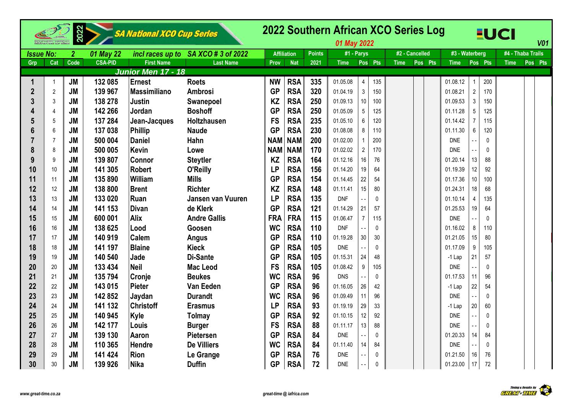|                  |                | 2022             |                | <b>SA National XCO Cup Series</b> |                          |             |                    |               | 01 May 2022 |                  |              |             | 2022 Southern African XCO Series Log |                |                          |              | EUCI              |         | <b>V01</b> |
|------------------|----------------|------------------|----------------|-----------------------------------|--------------------------|-------------|--------------------|---------------|-------------|------------------|--------------|-------------|--------------------------------------|----------------|--------------------------|--------------|-------------------|---------|------------|
| <b>Issue No:</b> |                | $\boldsymbol{2}$ | 01 May 22      | incl races up to                  | SA XCO # 3 of 2022       |             | <b>Affiliation</b> | <b>Points</b> | #1 - Parys  |                  |              |             | #2 - Cancelled                       | #3 - Waterberg |                          |              | #4 - Thaba Trails |         |            |
| Grp              | Cat            | Code             | <b>CSA-PID</b> | <b>First Name</b>                 | <b>Last Name</b>         | <b>Prov</b> | <b>Nat</b>         | 2021          | <b>Time</b> |                  | Pos Pts      | <b>Time</b> | Pos Pts                              | <b>Time</b>    |                          | Pos Pts      | <b>Time</b>       | Pos Pts |            |
|                  |                |                  |                | Junior Men 17 - 18                |                          |             |                    |               |             |                  |              |             |                                      |                |                          |              |                   |         |            |
| $\mathbf 1$      | $\overline{1}$ | <b>JM</b>        | 132 085        | Ernest                            | <b>Roets</b>             | <b>NW</b>   | <b>RSA</b>         | 335           | 01.05.08    | $\overline{4}$   | 135          |             |                                      | 01.08.12       | 1                        | 200          |                   |         |            |
| $\boldsymbol{2}$ | $\overline{2}$ | <b>JM</b>        | 139 967        | <b>Massimiliano</b>               | <b>Ambrosi</b>           | <b>GP</b>   | <b>RSA</b>         | 320           | 01.04.19    | $\mathfrak{Z}$   | 150          |             |                                      | 01.08.21       | $\overline{2}$           | 170          |                   |         |            |
| 3                | 3              | <b>JM</b>        | 138 278        | <b>Justin</b>                     | Swanepoel                | <b>KZ</b>   | <b>RSA</b>         | 250           | 01.09.13    | 10               | 100          |             |                                      | 01.09.53       | 3                        | 150          |                   |         |            |
| 4                | 4              | <b>JM</b>        | 142 266        | Jordan                            | <b>Boshoff</b>           | <b>GP</b>   | <b>RSA</b>         | 250           | 01.05.09    | 5                | 125          |             |                                      | 01.11.28       | 5                        | 125          |                   |         |            |
| 5                | $\sqrt{5}$     | <b>JM</b>        | 137 284        | Jean-Jacques                      | <b>Holtzhausen</b>       | <b>FS</b>   | <b>RSA</b>         | 235           | 01.05.10    | 6                | 120          |             |                                      | 01.14.42       | $\overline{7}$           | 115          |                   |         |            |
| $6\phantom{1}6$  | 6              | <b>JM</b>        | 137 038        | Phillip                           | <b>Naude</b>             | <b>GP</b>   | <b>RSA</b>         | 230           | 01.08.08    | 8                | 110          |             |                                      | 01.11.30       | 6                        | 120          |                   |         |            |
| 7                | $\overline{7}$ | <b>JM</b>        | 500 004        | <b>Daniel</b>                     | Hahn                     | <b>NAM</b>  | <b>NAM</b>         | 200           | 01.02.00    |                  | 200          |             |                                      | <b>DNE</b>     |                          | $\mathbf{0}$ |                   |         |            |
| 8                | 8              | <b>JM</b>        | 500 005        | <b>Kevin</b>                      | Lowe                     | <b>NAM</b>  | <b>NAM</b>         | 170           | 01.02.02    | $\overline{2}$   | 170          |             |                                      | <b>DNE</b>     |                          | $\Omega$     |                   |         |            |
| 9                | 9              | <b>JM</b>        | 139 807        | <b>Connor</b>                     | <b>Steytler</b>          | <b>KZ</b>   | <b>RSA</b>         | 164           | 01.12.16    | 16               | 76           |             |                                      | 01.20.14       | 13                       | 88           |                   |         |            |
| 10               | 10             | <b>JM</b>        | 141 305        | <b>Robert</b>                     | O'Reilly                 | <b>LP</b>   | <b>RSA</b>         | 156           | 01.14.20    | 19               | 64           |             |                                      | 01.19.39       | $12 \overline{ }$        | 92           |                   |         |            |
| 11               | 11             | <b>JM</b>        | 135 890        | William                           | <b>Mills</b>             | <b>GP</b>   | <b>RSA</b>         | 154           | 01.14.45    | 22               | 54           |             |                                      | 01.17.36       | 10 <sup>°</sup>          | 100          |                   |         |            |
| 12               | 12             | <b>JM</b>        | 138 800        | <b>Brent</b>                      | <b>Richter</b>           | <b>KZ</b>   | <b>RSA</b>         | 148           | 01.11.41    | 15               | 80           |             |                                      | 01.24.31       | 18                       | 68           |                   |         |            |
| 13               | 13             | <b>JM</b>        | 133 020        | Ruan                              | <b>Jansen van Vuuren</b> | <b>LP</b>   | <b>RSA</b>         | 135           | <b>DNF</b>  |                  | $\mathbf 0$  |             |                                      | 01.10.14       | 4                        | 135          |                   |         |            |
| 14               | 14             | <b>JM</b>        | 141 153        | <b>Divan</b>                      | de Klerk                 | <b>GP</b>   | <b>RSA</b>         | 121           | 01.14.29    | 21               | 57           |             |                                      | 01.25.53       | 19                       | 64           |                   |         |            |
| 15               | 15             | <b>JM</b>        | 600 001        | <b>Alix</b>                       | <b>Andre Gallis</b>      | <b>FRA</b>  | <b>FRA</b>         | 115           | 01.06.47    | $\overline{7}$   | 115          |             |                                      | <b>DNE</b>     |                          | $\mathbf{0}$ |                   |         |            |
| 16               | 16             | <b>JM</b>        | 138 625        | Lood                              | Goosen                   | <b>WC</b>   | <b>RSA</b>         | 110           | <b>DNF</b>  |                  | $\mathbf 0$  |             |                                      | 01.16.02       | 8                        | 110          |                   |         |            |
| 17               | 17             | <b>JM</b>        | 140 919        | Calem                             | <b>Angus</b>             | <b>GP</b>   | <b>RSA</b>         | 110           | 01.19.28    | 30               | 30           |             |                                      | 01.21.05       | 15 <sup>15</sup>         | 80           |                   |         |            |
| 18               | 18             | <b>JM</b>        | 141 197        | <b>Blaine</b>                     | <b>Kieck</b>             | <b>GP</b>   | <b>RSA</b>         | 105           | <b>DNE</b>  |                  | 0            |             |                                      | 01.17.09       | 9                        | 105          |                   |         |            |
| 19               | 19             | <b>JM</b>        | 140 540        | Jade                              | <b>Di-Sante</b>          | <b>GP</b>   | <b>RSA</b>         | 105           | 01.15.31    | 24               | 48           |             |                                      | $-1$ Lap       | 21                       | 57           |                   |         |            |
| 20               | 20             | <b>JM</b>        | 133 434        | <b>Neil</b>                       | <b>Mac Leod</b>          | <b>FS</b>   | <b>RSA</b>         | 105           | 01.08.42    | $\boldsymbol{9}$ | 105          |             |                                      | <b>DNE</b>     |                          | $\mathbf{0}$ |                   |         |            |
| 21               | 21             | <b>JM</b>        | 135 794        | Cronje                            | <b>Beukes</b>            | <b>WC</b>   | <b>RSA</b>         | 96            | <b>DNS</b>  |                  | 0            |             |                                      | 01.17.53       | 11                       | 96           |                   |         |            |
| 22               | 22             | <b>JM</b>        | 143 015        | Pieter                            | Van Eeden                | <b>GP</b>   | <b>RSA</b>         | 96            | 01.16.05    | 26               | 42           |             |                                      | -1 Lap         | 22                       | 54           |                   |         |            |
| 23               | 23             | <b>JM</b>        | 142 852        | Jaydan                            | <b>Durandt</b>           | <b>WC</b>   | <b>RSA</b>         | 96            | 01.09.49    | 11               | 96           |             |                                      | <b>DNE</b>     | $\overline{\phantom{a}}$ | $\Omega$     |                   |         |            |
| 24               | 24             | <b>JM</b>        | 141 132        | <b>Christoff</b>                  | <b>Erasmus</b>           | <b>LP</b>   | <b>RSA</b>         | 93            | 01.19.19    | 29               | 33           |             |                                      | $-1$ Lap       | 20                       | 60           |                   |         |            |
| 25               | 25             | <b>JM</b>        | 140 945        | Kyle                              | <b>Tolmay</b>            | <b>GP</b>   | <b>RSA</b>         | 92            | 01.10.15    | 12               | 92           |             |                                      | <b>DNE</b>     | $-$                      | $\mathbf{0}$ |                   |         |            |
| 26               | 26             | <b>JM</b>        | 142 177        | Louis                             | <b>Burger</b>            | <b>FS</b>   | <b>RSA</b>         | 88            | 01.11.17    | 13               | 88           |             |                                      | <b>DNE</b>     |                          | 0            |                   |         |            |
| 27               | 27             | <b>JM</b>        | 139 130        | Aaron                             | Pietersen                | <b>GP</b>   | <b>RSA</b>         | 84            | <b>DNE</b>  | - -              | $\mathbf{0}$ |             |                                      | 01.20.33       | 14                       | 84           |                   |         |            |
| 28               | 28             | <b>JM</b>        | 110 365        | <b>Hendre</b>                     | <b>De Villiers</b>       | <b>WC</b>   | <b>RSA</b>         | 84            | 01.11.40    | 14               | 84           |             |                                      | <b>DNE</b>     |                          | $\mathbf{0}$ |                   |         |            |
| 29               | 29             | <b>JM</b>        | 141 424        | <b>Rion</b>                       | Le Grange                | <b>GP</b>   | <b>RSA</b>         | 76            | <b>DNE</b>  | $\sim$ $\sim$    | 0            |             |                                      | 01.21.50       | 16                       | 76           |                   |         |            |
| 30               | 30             | <b>JM</b>        | 139 926        | Nika                              | <b>Duffin</b>            | <b>GP</b>   | <b>RSA</b>         | 72            | <b>DNE</b>  |                  | 0            |             |                                      | 01.23.00       | 17                       | 72           |                   |         |            |

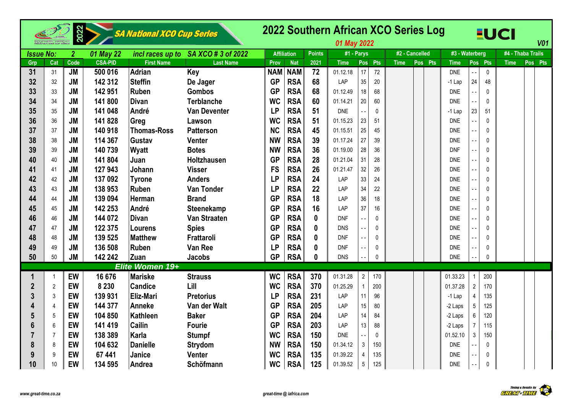|                  |                | 2022           |                | SA National XCO Cup Series |                                     |            |                    |               | 2022 Southern African XCO Series Log<br>01 May 2022 |                 |              |                |         |                |                |                | <b>EUCI</b> | V <sub>01</sub>   |
|------------------|----------------|----------------|----------------|----------------------------|-------------------------------------|------------|--------------------|---------------|-----------------------------------------------------|-----------------|--------------|----------------|---------|----------------|----------------|----------------|-------------|-------------------|
| <b>Issue No:</b> |                | $\overline{2}$ | 01 May 22      |                            | incl races up to SA XCO # 3 of 2022 |            | <b>Affiliation</b> | <b>Points</b> | #1 - Parys                                          |                 |              | #2 - Cancelled |         | #3 - Waterberg |                |                |             | #4 - Thaba Trails |
| Grp              | Cat            | Code           | <b>CSA-PID</b> | <b>First Name</b>          | <b>Last Name</b>                    | Prov       | <b>Nat</b>         | 2021          | <b>Time</b>                                         | Pos             | <b>Pts</b>   | <b>Time</b>    | Pos Pts | <b>Time</b>    |                | Pos Pts        | <b>Time</b> | Pos Pts           |
| 31               | 31             | <b>JM</b>      | 500 016        | Adrian                     | Key                                 | <b>NAM</b> | <b>NAM</b>         | 72            | 01.12.18                                            | 17              | 72           |                |         | <b>DNE</b>     |                | $\pmb{0}$      |             |                   |
| 32               | 32             | <b>JM</b>      | 142 312        | Steffin                    | De Jager                            | <b>GP</b>  | <b>RSA</b>         | 68            | LAP                                                 | 35              | 20           |                |         | $-1$ Lap       | 24             | 48             |             |                   |
| 33               | 33             | <b>JM</b>      | 142 951        | Ruben                      | <b>Gombos</b>                       | <b>GP</b>  | <b>RSA</b>         | 68            | 01.12.49                                            | 18              | 68           |                |         | <b>DNE</b>     |                | $\Omega$       |             |                   |
| 34               | 34             | <b>JM</b>      | 141 800        | <b>Divan</b>               | <b>Terblanche</b>                   | <b>WC</b>  | <b>RSA</b>         | 60            | 01.14.21                                            | 20              | 60           |                |         | <b>DNE</b>     |                | $\mathbf{0}$   |             |                   |
| 35               | 35             | <b>JM</b>      | 141 048        | André                      | <b>Van Deventer</b>                 | <b>LP</b>  | <b>RSA</b>         | 51            | <b>DNE</b>                                          |                 | 0            |                |         | $-1$ Lap       | 23             | 51             |             |                   |
| 36               | 36             | <b>JM</b>      | 141 828        | Greg                       | Lawson                              | <b>WC</b>  | <b>RSA</b>         | 51            | 01.15.23                                            | 23              | 51           |                |         | <b>DNE</b>     |                | $\overline{0}$ |             |                   |
| 37               | 37             | <b>JM</b>      | 140 918        | <b>Thomas-Ross</b>         | <b>Patterson</b>                    | <b>NC</b>  | <b>RSA</b>         | 45            | 01.15.51                                            | 25              | 45           |                |         | <b>DNE</b>     |                | $\theta$       |             |                   |
| 38               | 38             | <b>JM</b>      | 114 367        | Gustav                     | <b>Venter</b>                       | <b>NW</b>  | <b>RSA</b>         | 39            | 01.17.24                                            | 27              | 39           |                |         | <b>DNE</b>     |                | 0              |             |                   |
| 39               | 39             | <b>JM</b>      | 140 739        | Wyatt                      | <b>Botes</b>                        | <b>NW</b>  | <b>RSA</b>         | 36            | 01.19.00                                            | 28              | 36           |                |         | <b>DNF</b>     |                | $\mathbf 0$    |             |                   |
| 40               | 40             | <b>JM</b>      | 141 804        | Juan                       | Holtzhausen                         | <b>GP</b>  | <b>RSA</b>         | 28            | 01.21.04                                            | 31              | 28           |                |         | <b>DNE</b>     |                | $\pmb{0}$      |             |                   |
| 41               | 41             | <b>JM</b>      | 127 943        | Johann                     | <b>Visser</b>                       | <b>FS</b>  | <b>RSA</b>         | 26            | 01.21.47                                            | 32              | 26           |                |         | <b>DNE</b>     |                | $\mathbf 0$    |             |                   |
| 42               | 42             | <b>JM</b>      | 137 092        | <b>Tyrone</b>              | <b>Anders</b>                       | <b>LP</b>  | <b>RSA</b>         | 24            | LAP                                                 | 33              | 24           |                |         | <b>DNE</b>     |                | $\pmb{0}$      |             |                   |
| 43               | 43             | <b>JM</b>      | 138 953        | Ruben                      | <b>Van Tonder</b>                   | <b>LP</b>  | <b>RSA</b>         | 22            | LAP                                                 | 34              | 22           |                |         | <b>DNE</b>     |                | 0              |             |                   |
| 44               | 44             | <b>JM</b>      | 139 094        | Herman                     | <b>Brand</b>                        | <b>GP</b>  | <b>RSA</b>         | 18            | LAP                                                 | 36              | 18           |                |         | <b>DNE</b>     |                | $\overline{0}$ |             |                   |
| 45               | 45             | <b>JM</b>      | 142 253        | André                      | <b>Steenekamp</b>                   | <b>GP</b>  | <b>RSA</b>         | 16            | LAP                                                 | 37              | 16           |                |         | <b>DNE</b>     |                | $\mathbf{0}$   |             |                   |
| 46               | 46             | <b>JM</b>      | 144 072        | Divan                      | Van Straaten                        | <b>GP</b>  | <b>RSA</b>         | $\mathbf{0}$  | <b>DNF</b>                                          |                 | $\mathbf{0}$ |                |         | <b>DNE</b>     |                | $\mathbf{0}$   |             |                   |
| 47               | 47             | <b>JM</b>      | 122 375        | <b>Lourens</b>             | <b>Spies</b>                        | <b>GP</b>  | <b>RSA</b>         | $\mathbf{0}$  | <b>DNS</b>                                          |                 | 0            |                |         | <b>DNE</b>     |                | $\theta$       |             |                   |
| 48               | 48             | <b>JM</b>      | 139 525        | <b>Matthew</b>             | Frattaroli                          | <b>GP</b>  | <b>RSA</b>         | $\mathbf{0}$  | <b>DNF</b>                                          |                 | 0            |                |         | <b>DNE</b>     |                | $\theta$       |             |                   |
| 49               | 49             | <b>JM</b>      | 136 508        | Ruben                      | <b>Van Ree</b>                      | <b>LP</b>  | <b>RSA</b>         | $\mathbf{0}$  | <b>DNF</b>                                          |                 | 0            |                |         | <b>DNE</b>     |                | $\mathbf 0$    |             |                   |
| 50               | 50             | <b>JM</b>      | 142 242        | <b>Zuan</b>                | Jacobs                              | <b>GP</b>  | <b>RSA</b>         | $\mathbf{0}$  | <b>DNS</b>                                          |                 | $\mathbf{0}$ |                |         | <b>DNE</b>     |                | $\mathbf{0}$   |             |                   |
|                  |                |                |                | Elite Women 19+            |                                     |            |                    |               |                                                     |                 |              |                |         |                |                |                |             |                   |
|                  | -1             | EW             | 16 676         | <b>Mariske</b>             | <b>Strauss</b>                      | <b>WC</b>  | <b>RSA</b>         | 370           | 01.31.28                                            | $\overline{2}$  | 170          |                |         | 01.33.23       |                | 200            |             |                   |
| $\boldsymbol{2}$ | $\overline{2}$ | EW             | 8 2 3 0        | <b>Candice</b>             | Lill                                | <b>WC</b>  | <b>RSA</b>         | 370           | 01.25.29                                            | $\overline{1}$  | 200          |                |         | 01.37.28       | $\overline{2}$ | 170            |             |                   |
| 3                | 3              | EW             | 139 931        | <b>Eliz-Mari</b>           | <b>Pretorius</b>                    | <b>LP</b>  | <b>RSA</b>         | 231           | LAP                                                 | 11              | 96           |                |         | $-1$ Lap       | 4              | 135            |             |                   |
| 4                | 4              | EW             | 144 377        | <b>Anneke</b>              | Van der Walt                        | <b>GP</b>  | <b>RSA</b>         | 205           | LAP                                                 | 15              | 80           |                |         | -2 Laps        | $\sqrt{5}$     | 125            |             |                   |
| 5                | 5              | EW             | 104 850        | Kathleen                   | <b>Baker</b>                        | <b>GP</b>  | <b>RSA</b>         | 204           | LAP                                                 | 14              | 84           |                |         | -2 Laps        | 6              | 120            |             |                   |
| 6                | 6              | EW             | 141 419        | <b>Cailin</b>              | <b>Fourie</b>                       | <b>GP</b>  | <b>RSA</b>         | 203           | LAP                                                 | 13              | 88           |                |         | -2 Laps        | $\overline{7}$ | 115            |             |                   |
|                  | 7              | EW             | 138 389        | Karla                      | <b>Stumpf</b>                       | <b>WC</b>  | <b>RSA</b>         | 150           | <b>DNE</b>                                          |                 | $\mathbf{0}$ |                |         | 01.52.10       | $\mathbf{3}$   | 150            |             |                   |
| 8                | 8              | EW             | 104 632        | <b>Danielle</b>            | <b>Strydom</b>                      | <b>NW</b>  | <b>RSA</b>         | 150           | 01.34.12                                            | 3               | 150          |                |         | <b>DNE</b>     |                | 0              |             |                   |
| 9                | 9              | <b>EW</b>      | 67 441         | Janice                     | <b>Venter</b>                       | <b>WC</b>  | <b>RSA</b>         | 135           | 01.39.22                                            | 4               | 135          |                |         | <b>DNE</b>     |                | 0              |             |                   |
| 10               | 10             | EW             | 134 595        | Andrea                     | Schöfmann                           | <b>WC</b>  | <b>RSA</b>         | 125           | 01.39.52                                            | $5\phantom{.0}$ | 125          |                |         | <b>DNE</b>     |                | $\pmb{0}$      |             |                   |

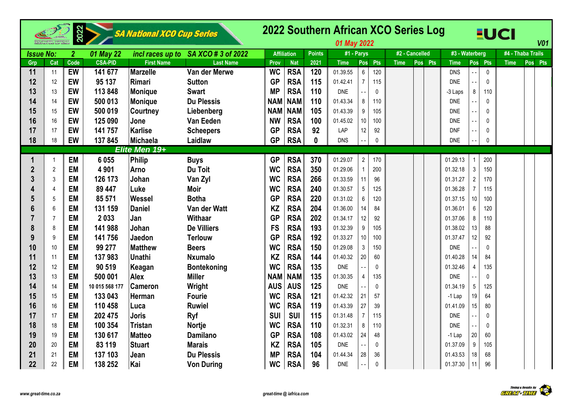|                  |                | 2022           |                | SA National XCO Cup Series |                                     |            |                    |               | 01 May 2022 |                        | 2022 Southern African XCO Series Log |             | <b>EUCI</b>            |                   | V <sub>01</sub> |
|------------------|----------------|----------------|----------------|----------------------------|-------------------------------------|------------|--------------------|---------------|-------------|------------------------|--------------------------------------|-------------|------------------------|-------------------|-----------------|
| <b>Issue No:</b> |                | $\overline{2}$ | 01 May 22      |                            | incl races up to SA XCO # 3 of 2022 |            | <b>Affiliation</b> | <b>Points</b> | #1 - Parys  |                        | #2 - Cancelled                       |             | #3 - Waterberg         | #4 - Thaba Trails |                 |
| Grp              | Cat            | Code           | <b>CSA-PID</b> | <b>First Name</b>          | <b>Last Name</b>                    | Prov       | <b>Nat</b>         | 2021          | <b>Time</b> | Pos<br>Pts             | Pos Pts<br><b>Time</b>               | <b>Time</b> | Pos Pts                | <b>Time</b>       | Pos Pts         |
| 11               | 11             | EW             | 141 677        | Marzelle                   | Van der Merwe                       | <b>WC</b>  | <b>RSA</b>         | 120           | 01.39.55    | $6\overline{6}$<br>120 |                                      | <b>DNS</b>  | $\mathbf 0$            |                   |                 |
| 12               | 12             | EW             | 95 137         | Rimari                     | <b>Sutton</b>                       | <b>GP</b>  | <b>RSA</b>         | 115           | 01.42.41    | $\overline{7}$<br>115  |                                      | <b>DNE</b>  | $\mathbf 0$            |                   |                 |
| 13               | 13             | EW             | 113 848        | <b>Monique</b>             | <b>Swart</b>                        | <b>MP</b>  | <b>RSA</b>         | 110           | <b>DNE</b>  | $\mathbf 0$            |                                      | -3 Laps     | 8<br>110               |                   |                 |
| 14               | 14             | EW             | 500 013        | <b>Monique</b>             | <b>Du Plessis</b>                   | <b>NAM</b> | <b>NAM</b>         | 110           | 01.43.34    | 8<br>110               |                                      | <b>DNE</b>  | 0                      |                   |                 |
| 15               | 15             | EW             | 500 019        | <b>Courtney</b>            | Liebenberg                          | <b>NAM</b> | <b>NAM</b>         | 105           | 01.43.39    | 9<br>105               |                                      | <b>DNE</b>  | 0                      |                   |                 |
| 16               | 16             | EW             | 125 090        | Jone                       | Van Eeden                           | <b>NW</b>  | <b>RSA</b>         | 100           | 01.45.02    | 10 <sup>1</sup><br>100 |                                      | <b>DNE</b>  | 0<br>a a               |                   |                 |
| 17               | 17             | EW             | 141 757        | <b>Karlise</b>             | <b>Scheepers</b>                    | <b>GP</b>  | <b>RSA</b>         | 92            | LAP         | 12<br>92               |                                      | <b>DNF</b>  | $\Omega$               |                   |                 |
| 18               | 18             | EW             | 137845         | <b>Michaela</b>            | Laidlaw                             | <b>GP</b>  | <b>RSA</b>         | $\bf{0}$      | <b>DNS</b>  | $\mathbf 0$            |                                      | <b>DNE</b>  | 0                      |                   |                 |
|                  |                |                |                | Elite Men 19+              |                                     |            |                    |               |             |                        |                                      |             |                        |                   |                 |
| 1                |                | <b>EM</b>      | 6 0 5 5        | Philip                     | <b>Buys</b>                         | <b>GP</b>  | <b>RSA</b>         | 370           | 01.29.07    | $\overline{2}$<br>170  |                                      | 01.29.13    | 200                    |                   |                 |
| $\overline{2}$   | $\overline{2}$ | <b>EM</b>      | 4 9 0 1        | <b>Arno</b>                | Du Toit                             | <b>WC</b>  | <b>RSA</b>         | 350           | 01.29.06    | 200<br>$\mathbf{1}$    |                                      | 01.32.18    | $\mathfrak{Z}$<br>150  |                   |                 |
| 3                | 3              | <b>EM</b>      | 126 173        | Johan                      | Van Zyl                             | <b>WC</b>  | <b>RSA</b>         | 266           | 01.33.59    | 11<br>96               |                                      | 01.31.27    | $\overline{2}$<br>170  |                   |                 |
|                  | $\overline{4}$ | <b>EM</b>      | 89 447         | Luke                       | <b>Moir</b>                         | <b>WC</b>  | <b>RSA</b>         | 240           | 01.30.57    | $5\phantom{.0}$<br>125 |                                      | 01.36.28    | $\overline{7}$<br>115  |                   |                 |
| 5                | 5              | <b>EM</b>      | 85 571         | Wessel                     | <b>Botha</b>                        | <b>GP</b>  | <b>RSA</b>         | 220           | 01.31.02    | 6<br>120               |                                      | 01.37.15    | 10<br>100              |                   |                 |
| 6                | 6              | <b>EM</b>      | 131 159        | <b>Daniel</b>              | Van der Watt                        | <b>KZ</b>  | <b>RSA</b>         | 204           | 01.36.00    | 14<br>84               |                                      | 01.36.01    | 6<br>120               |                   |                 |
|                  | $\overline{7}$ | <b>EM</b>      | 2033           | Jan                        | Withaar                             | <b>GP</b>  | <b>RSA</b>         | 202           | 01.34.17    | 12<br>92               |                                      | 01.37.06    | 8<br>110               |                   |                 |
| 8                | 8              | <b>EM</b>      | 141 988        | Johan                      | <b>De Villiers</b>                  | <b>FS</b>  | <b>RSA</b>         | 193           | 01.32.39    | 9<br>105               |                                      | 01.38.02    | 13<br>88               |                   |                 |
| 9                | 9              | <b>EM</b>      | 141 756        | Jaedon                     | <b>Terlouw</b>                      | <b>GP</b>  | <b>RSA</b>         | 192           | 01.33.27    | 10 <sup>1</sup><br>100 |                                      | 01.37.47    | 12 <sup>°</sup><br>92  |                   |                 |
| 10               | 10             | <b>EM</b>      | 99 277         | <b>Matthew</b>             | <b>Beers</b>                        | <b>WC</b>  | <b>RSA</b>         | 150           | 01.29.08    | $\mathbf{3}$<br>150    |                                      | <b>DNE</b>  | 0                      |                   |                 |
| 11               | 11             | <b>EM</b>      | 137983         | <b>Unathi</b>              | <b>Nxumalo</b>                      | KZ         | <b>RSA</b>         | 144           | 01.40.32    | 20<br>60               |                                      | 01.40.28    | 14<br>84               |                   |                 |
| 12               | 12             | <b>EM</b>      | 90 519         | Keagan                     | <b>Bontekoning</b>                  | <b>WC</b>  | <b>RSA</b>         | 135           | <b>DNE</b>  | $\mathbf{0}$           |                                      | 01.32.46    | $\overline{4}$<br>135  |                   |                 |
| 13               | 13             | <b>EM</b>      | 500 001        | <b>Alex</b>                | <b>Miller</b>                       | <b>NAM</b> | <b>NAM</b>         | 135           | 01.30.35    | $\overline{4}$<br>135  |                                      | <b>DNE</b>  | 0                      |                   |                 |
| 14               | 14             | <b>EM</b>      | 10 015 568 177 | <b>Cameron</b>             | Wright                              | <b>AUS</b> | <b>AUS</b>         | 125           | <b>DNE</b>  | $\mathbf{0}$           |                                      | 01.34.19    | $5\phantom{.0}$<br>125 |                   |                 |
| 15               | 15             | <b>EM</b>      | 133 043        | Herman                     | <b>Fourie</b>                       | <b>WC</b>  | <b>RSA</b>         | 121           | 01.42.32    | 21<br>57               |                                      | $-1$ Lap    | 19<br>64               |                   |                 |
| 16               | 16             | <b>EM</b>      | 110 458        | Luca                       | <b>Ruwiel</b>                       | <b>WC</b>  | <b>RSA</b>         | 119           | 01.43.39    | 27<br>39               |                                      | 01.41.09    | 15 <sup>15</sup><br>80 |                   |                 |
| 17               | 17             | <b>EM</b>      | 202 475        | <b>Joris</b>               | <b>Ryf</b>                          | <b>SUI</b> | <b>SUI</b>         | 115           | 01.31.48    | $\overline{7}$<br>115  |                                      | <b>DNE</b>  | $\mathbf 0$            |                   |                 |
| 18               | 18             | <b>EM</b>      | 100 354        | <b>Tristan</b>             | <b>Nortje</b>                       | <b>WC</b>  | <b>RSA</b>         | 110           | 01.32.31    | 8<br>110               |                                      | <b>DNE</b>  | $\mathbf{0}$           |                   |                 |
| 19               | 19             | <b>EM</b>      | 130 617        | <b>Matteo</b>              | <b>Damilano</b>                     | <b>GP</b>  | <b>RSA</b>         | 108           | 01.43.02    | 24<br>48               |                                      | -1 Lap      | 20<br>60               |                   |                 |
| 20               | 20             | <b>EM</b>      | 83 119         | <b>Stuart</b>              | <b>Marais</b>                       | KZ         | <b>RSA</b>         | 105           | <b>DNE</b>  | $\mathbf{0}$           |                                      | 01.37.09    | 9<br>105               |                   |                 |
| 21               | 21             | <b>EM</b>      | 137 103        | Jean                       | <b>Du Plessis</b>                   | <b>MP</b>  | <b>RSA</b>         | 104           | 01.44.34    | 28<br>36               |                                      | 01.43.53    | 18<br>68               |                   |                 |
| 22               | 22             | <b>EM</b>      | 138 252        | Kai                        | <b>Von During</b>                   | <b>WC</b>  | <b>RSA</b>         | 96            | <b>DNE</b>  | $\pmb{0}$              |                                      | 01.37.30    | 96<br>11               |                   |                 |

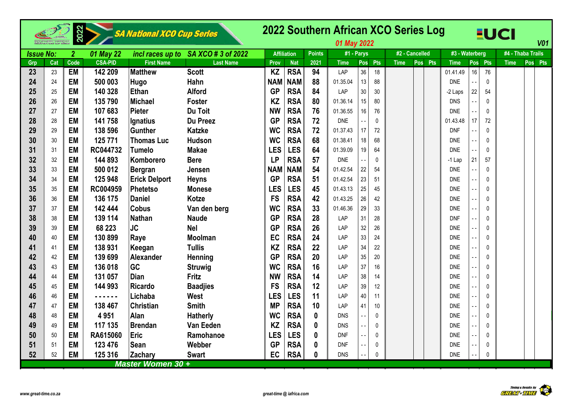|                  |     | 2022           |                | SA National XCO Cup Series |                                     |            |                    |               | 2022 Southern African XCO Series Log<br>01 May 2022 |                 |              |             |                |             |                |              | EUCI              |         | <b>V01</b> |
|------------------|-----|----------------|----------------|----------------------------|-------------------------------------|------------|--------------------|---------------|-----------------------------------------------------|-----------------|--------------|-------------|----------------|-------------|----------------|--------------|-------------------|---------|------------|
| <b>Issue No:</b> |     | $\overline{2}$ | 01 May 22      |                            | incl races up to SA XCO # 3 of 2022 |            | <b>Affiliation</b> | <b>Points</b> | #1 - Parys                                          |                 |              |             | #2 - Cancelled |             | #3 - Waterberg |              | #4 - Thaba Trails |         |            |
| Grp              | Cat | Code           | <b>CSA-PID</b> | <b>First Name</b>          | <b>Last Name</b>                    | Prov       | <b>Nat</b>         | 2021          | <b>Time</b>                                         | Pos             | Pts          | <b>Time</b> | Pos Pts        | <b>Time</b> | Pos            | <b>Pts</b>   | <b>Time</b>       | Pos Pts |            |
| 23               | 23  | <b>EM</b>      | 142 209        | <b>Matthew</b>             | <b>Scott</b>                        | <b>KZ</b>  | <b>RSA</b>         | 94            | LAP                                                 | 36              | 18           |             |                | 01.41.49    | 16             | 76           |                   |         |            |
| 24               | 24  | <b>EM</b>      | 500 003        | Hugo                       | Hahn                                | <b>NAM</b> | <b>NAM</b>         | 88            | 01.35.04                                            | 13              | 88           |             |                | <b>DNE</b>  |                | $\mathbf{0}$ |                   |         |            |
| 25               | 25  | <b>EM</b>      | 140 328        | Ethan                      | <b>Alford</b>                       | <b>GP</b>  | <b>RSA</b>         | 84            | LAP                                                 | 30 <sub>2</sub> | 30           |             |                | -2 Laps     | 22             | 54           |                   |         |            |
| 26               | 26  | <b>EM</b>      | 135 790        | Michael                    | <b>Foster</b>                       | <b>KZ</b>  | <b>RSA</b>         | 80            | 01.36.14                                            | 15              | 80           |             |                | <b>DNS</b>  |                | $\mathbf{0}$ |                   |         |            |
| 27               | 27  | <b>EM</b>      | 107 683        | Pieter                     | Du Toit                             | <b>NW</b>  | <b>RSA</b>         | 76            | 01.36.55                                            | 16              | 76           |             |                | <b>DNE</b>  |                | $\Omega$     |                   |         |            |
| 28               | 28  | <b>EM</b>      | 141 758        | lgnatius                   | <b>Du Preez</b>                     | <b>GP</b>  | <b>RSA</b>         | 72            | <b>DNE</b>                                          |                 | $\mathbf{0}$ |             |                | 01.43.48    | 17             | 72           |                   |         |            |
| 29               | 29  | <b>EM</b>      | 138 596        | Gunther                    | <b>Katzke</b>                       | <b>WC</b>  | <b>RSA</b>         | 72            | 01.37.43                                            | 17              | 72           |             |                | <b>DNF</b>  |                | $\mathbf{0}$ |                   |         |            |
| 30               | 30  | <b>EM</b>      | 125 771        | <b>Thomas Luc</b>          | <b>Hudson</b>                       | <b>WC</b>  | <b>RSA</b>         | 68            | 01.38.41                                            | 18              | 68           |             |                | <b>DNE</b>  |                | $\theta$     |                   |         |            |
| 31               | 31  | <b>EM</b>      | RC044732       | <b>Tumelo</b>              | <b>Makae</b>                        | <b>LES</b> | <b>LES</b>         | 64            | 01.39.09                                            | 19              | 64           |             |                | <b>DNE</b>  |                | $\Omega$     |                   |         |            |
| 32               | 32  | <b>EM</b>      | 144 893        | Komborero                  | <b>Bere</b>                         | <b>LP</b>  | <b>RSA</b>         | 57            | <b>DNE</b>                                          |                 | $\mathbf{0}$ |             |                | $-1$ Lap    | 21             | 57           |                   |         |            |
| 33               | 33  | <b>EM</b>      | 500 012        | Bergran                    | Jensen                              | <b>NAM</b> | <b>NAM</b>         | 54            | 01.42.54                                            | 22              | 54           |             |                | <b>DNE</b>  |                | $\theta$     |                   |         |            |
| 34               | 34  | <b>EM</b>      | 125 948        | <b>Erick Delport</b>       | <b>Heyns</b>                        | <b>GP</b>  | <b>RSA</b>         | 51            | 01.42.54                                            | 23              | 51           |             |                | DNE         |                | $\theta$     |                   |         |            |
| 35               | 35  | <b>EM</b>      | RC004959       | Phetetso                   | <b>Monese</b>                       | <b>LES</b> | <b>LES</b>         | 45            | 01.43.13                                            | 25              | 45           |             |                | <b>DNE</b>  |                | $\theta$     |                   |         |            |
| 36               | 36  | <b>EM</b>      | 136 175        | Daniel                     | <b>Kotze</b>                        | <b>FS</b>  | <b>RSA</b>         | 42            | 01.43.25                                            | 26              | 42           |             |                | <b>DNE</b>  |                | $\Omega$     |                   |         |            |
| 37               | 37  | <b>EM</b>      | 142 444        | <b>Cobus</b>               | Van den berg                        | <b>WC</b>  | <b>RSA</b>         | 33            | 01.46.36                                            | 29              | 33           |             |                | <b>DNE</b>  |                | $\Omega$     |                   |         |            |
| 38               | 38  | <b>EM</b>      | 139 114        | Nathan                     | <b>Naude</b>                        | <b>GP</b>  | <b>RSA</b>         | 28            | LAP                                                 | 31              | 28           |             |                | <b>DNF</b>  |                | $\theta$     |                   |         |            |
| 39               | 39  | <b>EM</b>      | 68 223         | <b>JC</b>                  | <b>Nel</b>                          | <b>GP</b>  | <b>RSA</b>         | 26            | LAP                                                 | 32              | 26           |             |                | <b>DNE</b>  |                | $\theta$     |                   |         |            |
| 40               | 40  | <b>EM</b>      | 130 899        | Raye                       | <b>Moolman</b>                      | EC         | <b>RSA</b>         | 24            | LAP                                                 | 33              | 24           |             |                | <b>DNF</b>  |                | $\theta$     |                   |         |            |
| 41               | 41  | <b>EM</b>      | 138 931        | Keegan                     | <b>Tullis</b>                       | <b>KZ</b>  | <b>RSA</b>         | 22            | LAP                                                 | 34              | 22           |             |                | <b>DNE</b>  |                | $\theta$     |                   |         |            |
| 42               | 42  | <b>EM</b>      | 139 699        | Alexander                  | Henning                             | <b>GP</b>  | <b>RSA</b>         | 20            | LAP                                                 | 35              | 20           |             |                | <b>DNE</b>  |                | $\Omega$     |                   |         |            |
| 43               | 43  | <b>EM</b>      | 136 018        | <b>GC</b>                  | <b>Struwig</b>                      | <b>WC</b>  | <b>RSA</b>         | 16            | LAP                                                 | 37              | 16           |             |                | <b>DNE</b>  |                | $\Omega$     |                   |         |            |
| 44               | 44  | <b>EM</b>      | 131 057        | <b>Dian</b>                | <b>Fritz</b>                        | <b>NW</b>  | <b>RSA</b>         | 14            | LAP                                                 | 38              | 14           |             |                | <b>DNE</b>  |                | $\theta$     |                   |         |            |
| 45               | 45  | <b>EM</b>      | 144 993        | Ricardo                    | <b>Baadjies</b>                     | <b>FS</b>  | <b>RSA</b>         | 12            | LAP                                                 | 39              | 12           |             |                | DNE         |                | $\mathbf 0$  |                   |         |            |
| 46               | 46  | <b>EM</b>      | .              | Lichaba                    | West                                | <b>LES</b> | <b>LES</b>         | 11            | LAP                                                 | 40              | 11           |             |                | <b>DNE</b>  |                | $\mathbf{0}$ |                   |         |            |
| 47               | 47  | <b>EM</b>      | 138 467        | Christian                  | <b>Smith</b>                        | <b>MP</b>  | <b>RSA</b>         | 10            | LAP                                                 | 41              | 10           |             |                | <b>DNE</b>  |                | $\theta$     |                   |         |            |
| 48               | 48  | <b>EM</b>      | 4951           | Alan                       | <b>Hatherly</b>                     | <b>WC</b>  | <b>RSA</b>         | $\bf{0}$      | <b>DNS</b>                                          | $ -$            | $\Omega$     |             |                | <b>DNE</b>  |                | $\Omega$     |                   |         |            |
| 49               | 49  | <b>EM</b>      | 117 135        | Brendan                    | Van Eeden                           | <b>KZ</b>  | <b>RSA</b>         | $\bf{0}$      | <b>DNS</b>                                          |                 | $\Omega$     |             |                | <b>DNE</b>  |                | $\Omega$     |                   |         |            |
| 50               | 50  | <b>EM</b>      | RA615060       | Eric                       | Ramohanoe                           | <b>LES</b> | <b>LES</b>         | $\bf{0}$      | <b>DNF</b>                                          |                 | $\Omega$     |             |                | DNE         |                | $\theta$     |                   |         |            |
| 51               | 51  | <b>EM</b>      | 123 476        | Sean                       | Webber                              | <b>GP</b>  | <b>RSA</b>         | 0             | <b>DNF</b>                                          |                 | 0            |             |                | DNE         |                | 0            |                   |         |            |
| 52               | 52  | <b>EM</b>      | 125 316        | Zachary                    | <b>Swart</b>                        | EC         | <b>RSA</b>         | 0             | <b>DNS</b>                                          |                 | $\Omega$     |             |                | <b>DNE</b>  |                | $\Omega$     |                   |         |            |
|                  |     |                |                | Master Women 30+           |                                     |            |                    |               |                                                     |                 |              |             |                |             |                |              |                   |         |            |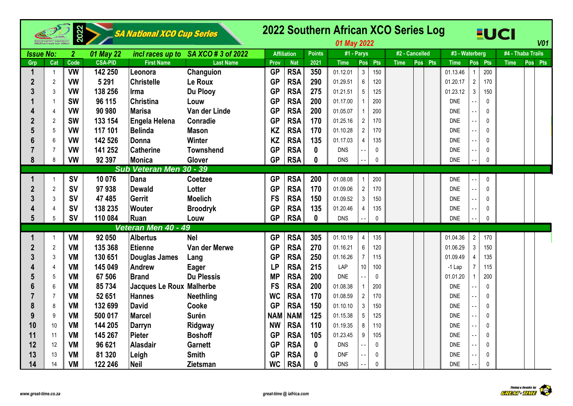|                  |                | 2022           |                | SA National XCO Cup Series |                                     |            |                    |               | 01 May 2022 |                                          | 2022 Southern African XCO Series Log | <b>EUCI</b>                                            | <b>V01</b>                       |
|------------------|----------------|----------------|----------------|----------------------------|-------------------------------------|------------|--------------------|---------------|-------------|------------------------------------------|--------------------------------------|--------------------------------------------------------|----------------------------------|
| <b>Issue No:</b> |                | $\overline{2}$ | 01 May 22      |                            | incl races up to SA XCO # 3 of 2022 |            | <b>Affiliation</b> | <b>Points</b> | #1 - Parys  |                                          | #2 - Cancelled                       | #3 - Waterberg                                         | #4 - Thaba Trails                |
| Grp              | Cat            | Code           | <b>CSA-PID</b> | <b>First Name</b>          | <b>Last Name</b>                    | Prov       | <b>Nat</b>         | 2021          | <b>Time</b> | Pos Pts                                  | <b>Time</b><br>Pos Pts               | <b>Time</b><br>Pos Pts                                 | <b>Time</b><br>Pos<br><b>Pts</b> |
|                  | $\mathbf 1$    | <b>VW</b>      | 142 250        | Leonora                    | Changuion                           | <b>GP</b>  | <b>RSA</b>         | 350           | 01.12.01    | $\mathbf{3}$<br>150                      |                                      | 200<br>01.13.46                                        |                                  |
| $\overline{2}$   | $\overline{2}$ | <b>VW</b>      | 5 2 9 1        | <b>Christelle</b>          | Le Roux                             | <b>GP</b>  | <b>RSA</b>         | 290           | 01.29.51    | 6<br>120                                 |                                      | $\overline{2}$<br>170<br>01.20.17                      |                                  |
|                  | 3              | <b>VW</b>      | 138 256        | <b>I</b> rma               | Du Plooy                            | <b>GP</b>  | <b>RSA</b>         | 275           | 01.21.51    | $5\phantom{.0}$<br>125                   |                                      | $\mathbf{3}$<br>01.23.12<br>150                        |                                  |
|                  |                | <b>SW</b>      | 96 115         | <b>Christina</b>           | Louw                                | <b>GP</b>  | <b>RSA</b>         | 200           | 01.17.00    | $\mathbf{1}$<br>200                      |                                      | <b>DNE</b><br>0                                        |                                  |
|                  | 4              | <b>VW</b>      | 90 980         | <b>Marisa</b>              | Van der Linde                       | <b>GP</b>  | <b>RSA</b>         | 200           | 01.05.07    | 1<br>200                                 |                                      | <b>DNE</b><br>$\mathbf 0$                              |                                  |
|                  | 2              | <b>SW</b>      | 133 154        | Engela Helena              | Conradie                            | <b>GP</b>  | <b>RSA</b>         | 170           | 01.25.16    | $\overline{2}$<br>170                    |                                      | <b>DNE</b><br>0<br>$\sim$ $\sim$                       |                                  |
|                  | 5              | <b>VW</b>      | 117 101        | <b>Belinda</b>             | <b>Mason</b>                        | <b>KZ</b>  | <b>RSA</b>         | 170           | 01.10.28    | $\overline{2}$<br>170                    |                                      | <b>DNE</b><br>$\Omega$<br>۵.                           |                                  |
|                  | 6              | <b>VW</b>      | 142 526        | Donna                      | Winter                              | <b>KZ</b>  | <b>RSA</b>         | 135           | 01.17.03    | 135<br>$\overline{4}$                    |                                      | <b>DNE</b><br>$\Omega$<br>$\overline{a}$               |                                  |
|                  | 7              | <b>VW</b>      | 141 252        | <b>Catherine</b>           | <b>Townshend</b>                    | <b>GP</b>  | <b>RSA</b>         | $\mathbf 0$   | <b>DNS</b>  | $\Omega$<br>٠.                           |                                      | <b>DNE</b><br>$\Omega$<br>$\sim$ $\sim$                |                                  |
| 8                | 8              | <b>VW</b>      | 92 397         | Monica                     | Glover                              | <b>GP</b>  | <b>RSA</b>         | $\mathbf{0}$  | <b>DNS</b>  | $\mathbf{0}$                             |                                      | <b>DNE</b><br>$\Omega$                                 |                                  |
|                  |                |                |                | Sub Veteran Men 30 - 39    |                                     |            |                    |               |             |                                          |                                      |                                                        |                                  |
|                  |                | <b>SV</b>      | 10 076         | Dana                       | Coetzee                             | <b>GP</b>  | <b>RSA</b>         | 200           | 01.08.08    | $\mathbf{1}$<br>200                      |                                      | <b>DNE</b><br>0<br>44                                  |                                  |
| $\mathbf{2}$     | $\overline{2}$ | <b>SV</b>      | 97938          | <b>Dewald</b>              | Lotter                              | <b>GP</b>  | <b>RSA</b>         | 170           | 01.09.06    | $\overline{2}$<br>170                    |                                      | <b>DNE</b><br>$\mathbf{0}$<br>$\overline{\phantom{a}}$ |                                  |
| 3                | 3              | <b>SV</b>      | 47 485         | Gerrit                     | <b>Moelich</b>                      | <b>FS</b>  | <b>RSA</b>         | 150           | 01.09.52    | $\mathbf{3}$<br>150                      |                                      | <b>DNE</b><br>0<br>Ξ.                                  |                                  |
|                  | 4              | <b>SV</b>      | 138 235        | <b>Wouter</b>              | <b>Broodryk</b>                     | <b>GP</b>  | <b>RSA</b>         | 135           | 01.20.46    | 135<br>4                                 |                                      | <b>DNE</b><br>0<br>$\overline{a}$ .                    |                                  |
| 5                | 5              | <b>SV</b>      | 110 084        | Ruan                       | Louw                                | <b>GP</b>  | <b>RSA</b>         | $\mathbf{0}$  | <b>DNS</b>  | 0                                        |                                      | <b>DNE</b><br>$\mathbf 0$<br>$\overline{a}$            |                                  |
|                  |                |                |                | Veteran Men 40 - 49        |                                     |            |                    |               |             |                                          |                                      |                                                        |                                  |
|                  | -1             | VM             | 92 050         | Albertus                   | <b>Nel</b>                          | <b>GP</b>  | <b>RSA</b>         | 305           | 01.10.19    | $\overline{4}$<br>135                    |                                      | $\overline{2}$<br>01.04.36<br>170                      |                                  |
| $\overline{2}$   | $\overline{2}$ | VM             | 135 368        | Etienne                    | Van der Merwe                       | <b>GP</b>  | <b>RSA</b>         | 270           | 01.16.21    | 6<br>120                                 |                                      | $\sqrt{3}$<br>01.06.29<br>150                          |                                  |
| 3                | 3              | <b>VM</b>      | 130 651        | Douglas James              | Lang                                | <b>GP</b>  | <b>RSA</b>         | 250           | 01.16.26    | $\overline{7}$<br>115                    |                                      | 01.09.49<br>$\overline{4}$<br>135                      |                                  |
|                  | 4              | <b>VM</b>      | 145 049        | <b>Andrew</b>              | Eager                               | <b>LP</b>  | <b>RSA</b>         | 215           | LAP         | 10 <sup>1</sup><br>100                   |                                      | $\overline{7}$<br>$-1$ Lap<br>115                      |                                  |
|                  | 5              | VM             | 67 506         | <b>Brand</b>               | <b>Du Plessis</b>                   | <b>MP</b>  | <b>RSA</b>         | 200           | <b>DNE</b>  | $\mathbf{0}$<br>$\overline{\phantom{a}}$ |                                      | 01.01.20<br>200<br>$\overline{1}$                      |                                  |
|                  | 6              | <b>VM</b>      | 85734          | Jacques Le Roux Malherbe   |                                     | <b>FS</b>  | <b>RSA</b>         | 200           | 01.08.38    | $\mathbf{1}$<br>200                      |                                      | <b>DNE</b><br>0                                        |                                  |
|                  | $\overline{7}$ | <b>VM</b>      | 52 651         | Hannes                     | <b>Neethling</b>                    | <b>WC</b>  | <b>RSA</b>         | 170           | 01.08.59    | $\overline{2}$<br>170                    |                                      | <b>DNE</b><br>0<br>ц.                                  |                                  |
|                  | 8              | VM             | 132 699        | <b>David</b>               | Cooke                               | <b>GP</b>  | <b>RSA</b>         | 150           | 01.10.10    | $\mathbf{3}$<br>150                      |                                      | <b>DNE</b><br>0<br>$\sim$ $\sim$                       |                                  |
|                  | 9              | <b>VM</b>      | 500 017        | <b>Marcel</b>              | Surén                               | <b>NAM</b> | <b>NAM</b>         | 125           | 01.15.38    | 5<br>125                                 |                                      | <b>DNE</b><br>0<br>$\ddot{\phantom{1}}$                |                                  |
| 10               | 10             | <b>VM</b>      | 144 205        | Darryn                     | Ridgway                             | <b>NW</b>  | <b>RSA</b>         | 110           | 01.19.35    | 8<br>110                                 |                                      | <b>DNE</b><br>0                                        |                                  |
| 11               | 11             | VM             | 145 267        | Pieter                     | <b>Boshoff</b>                      | <b>GP</b>  | <b>RSA</b>         | 105           | 01.23.45    | 9<br>105                                 |                                      | <b>DNE</b><br>0<br>$\overline{a}$                      |                                  |
| 12               | 12             | VM             | 96 621         | Alasdair                   | <b>Garnett</b>                      | <b>GP</b>  | <b>RSA</b>         | 0             | <b>DNS</b>  | 0<br>٠.                                  |                                      | <b>DNE</b><br>0<br>$\overline{\phantom{a}}$            |                                  |
| 13               | 13             | VM             | 81 320         | Leigh                      | <b>Smith</b>                        | <b>GP</b>  | <b>RSA</b>         | 0             | <b>DNF</b>  | $\Omega$                                 |                                      | <b>DNE</b><br>$\mathbf{0}$                             |                                  |
| 14               | 14             | <b>VM</b>      | 122 246        | <b>Neil</b>                | <b>Zietsman</b>                     | <b>WC</b>  | <b>RSA</b>         | 0             | <b>DNS</b>  | $\mathbf{0}$                             |                                      | <b>DNE</b><br>$\Omega$                                 |                                  |